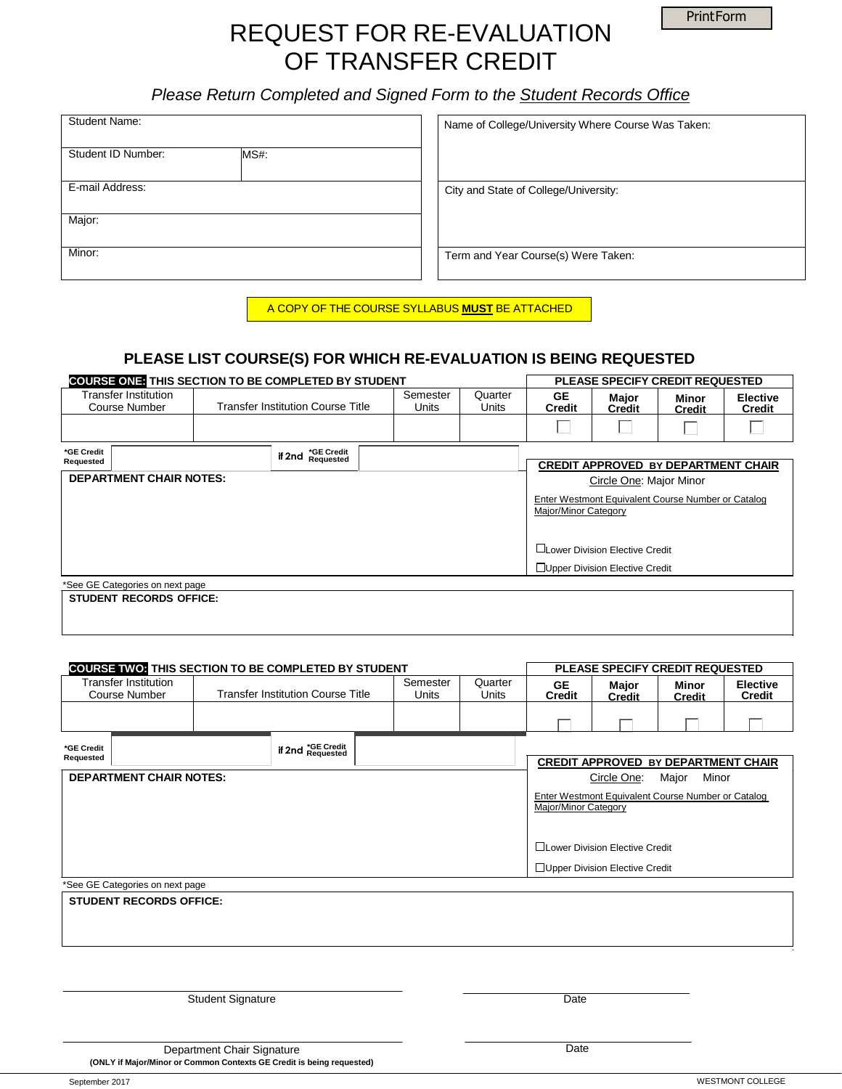# REQUEST FOR RE-EVALUATION OF TRANSFER CREDIT

*Please Return Completed and Signed Form to the Student Records Office*

| <b>Student Name:</b>       | Name of College/University Where Course Was Taken: |
|----------------------------|----------------------------------------------------|
| Student ID Number:<br>MS#: |                                                    |
| E-mail Address:            | City and State of College/University:              |
| Major:                     |                                                    |
| Minor:                     | Term and Year Course(s) Were Taken:                |

A COPY OF THE COURSE SYLLABUS **MUST** BE ATTACHED

### **PLEASE LIST COURSE(S) FOR WHICH RE-EVALUATION IS BEING REQUESTED**

| <b>COURSE ONE: THIS SECTION TO BE COMPLETED BY STUDENT</b>                               |  |  |                                   |                  | <b>PLEASE SPECIFY CREDIT REQUESTED</b>                                |                 |                                                                            |                                       |  |  |
|------------------------------------------------------------------------------------------|--|--|-----------------------------------|------------------|-----------------------------------------------------------------------|-----------------|----------------------------------------------------------------------------|---------------------------------------|--|--|
| Transfer Institution<br><b>Transfer Institution Course Title</b><br><b>Course Number</b> |  |  | Semester<br>Units                 | Quarter<br>Units | <b>GE</b><br><b>Credit</b>                                            | Major<br>Credit | Minor<br><b>Credit</b>                                                     | <b>Elective</b><br>Credit             |  |  |
|                                                                                          |  |  |                                   |                  |                                                                       |                 |                                                                            |                                       |  |  |
| *GE Credit<br>Requested                                                                  |  |  | *GE Credit<br>if 2nd<br>Requested |                  |                                                                       |                 |                                                                            |                                       |  |  |
| <b>DEPARTMENT CHAIR NOTES:</b>                                                           |  |  |                                   |                  | <b>CREDIT APPROVED BY DEPARTMENT CHAIR</b><br>Circle One: Major Minor |                 |                                                                            |                                       |  |  |
|                                                                                          |  |  |                                   |                  |                                                                       |                 | Enter Westmont Equivalent Course Number or Catalog<br>Major/Minor Category |                                       |  |  |
|                                                                                          |  |  |                                   |                  |                                                                       |                 |                                                                            | LLower Division Elective Credit       |  |  |
|                                                                                          |  |  |                                   |                  |                                                                       |                 |                                                                            | <b>Upper Division Elective Credit</b> |  |  |
| *See GE Categories on next page                                                          |  |  |                                   |                  |                                                                       |                 |                                                                            |                                       |  |  |
| <b>STUDENT RECORDS OFFICE:</b>                                                           |  |  |                                   |                  |                                                                       |                 |                                                                            |                                       |  |  |

|                                              |                                 | <b>COURSE TWO: THIS SECTION TO BE COMPLETED BY STUDENT</b> |                   | PLEASE SPECIFY CREDIT REQUESTED            |                                  |                                                                                                               |                               |                                  |  |  |
|----------------------------------------------|---------------------------------|------------------------------------------------------------|-------------------|--------------------------------------------|----------------------------------|---------------------------------------------------------------------------------------------------------------|-------------------------------|----------------------------------|--|--|
| Transfer Institution<br><b>Course Number</b> |                                 | <b>Transfer Institution Course Title</b>                   | Semester<br>Units | Quarter<br>Units                           | <b>GE</b><br><b>Credit</b>       | Major<br><b>Credit</b>                                                                                        | <b>Minor</b><br><b>Credit</b> | <b>Elective</b><br><b>Credit</b> |  |  |
|                                              |                                 |                                                            |                   |                                            |                                  |                                                                                                               |                               |                                  |  |  |
| *GE Credit<br>Requested                      |                                 | if 2nd *GE Credit                                          |                   | <b>CREDIT APPROVED BY DEPARTMENT CHAIR</b> |                                  |                                                                                                               |                               |                                  |  |  |
| <b>DEPARTMENT CHAIR NOTES:</b>               |                                 |                                                            |                   |                                            |                                  | Minor<br>Circle One:<br>Major                                                                                 |                               |                                  |  |  |
|                                              |                                 |                                                            |                   |                                            |                                  | Enter Westmont Equivalent Course Number or Catalog<br>Major/Minor Category<br>□Lower Division Elective Credit |                               |                                  |  |  |
|                                              |                                 |                                                            |                   |                                            | □ Upper Division Elective Credit |                                                                                                               |                               |                                  |  |  |
|                                              | *See GE Categories on next page |                                                            |                   |                                            |                                  |                                                                                                               |                               |                                  |  |  |
|                                              | <b>STUDENT RECORDS OFFICE:</b>  |                                                            |                   |                                            |                                  |                                                                                                               |                               |                                  |  |  |
|                                              |                                 |                                                            |                   |                                            |                                  |                                                                                                               |                               |                                  |  |  |

Student Signature Date

**Date**